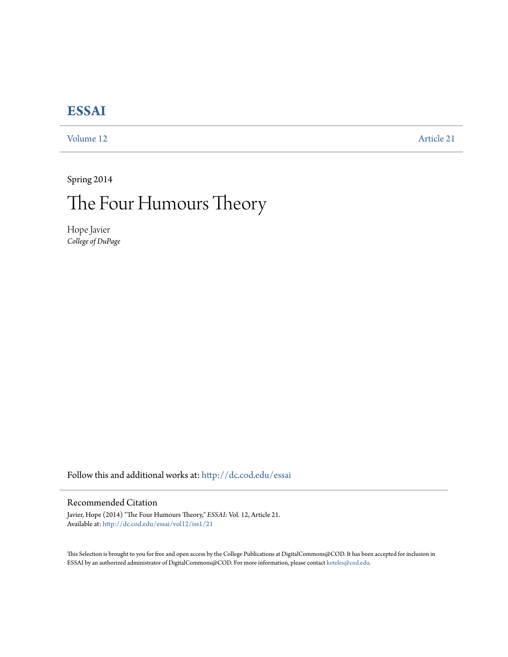## **[ESSAI](http://dc.cod.edu/essai?utm_source=dc.cod.edu%2Fessai%2Fvol12%2Fiss1%2F21&utm_medium=PDF&utm_campaign=PDFCoverPages)**

[Volume 12](http://dc.cod.edu/essai/vol12?utm_source=dc.cod.edu%2Fessai%2Fvol12%2Fiss1%2F21&utm_medium=PDF&utm_campaign=PDFCoverPages) [Article 21](http://dc.cod.edu/essai/vol12/iss1/21?utm_source=dc.cod.edu%2Fessai%2Fvol12%2Fiss1%2F21&utm_medium=PDF&utm_campaign=PDFCoverPages)

Spring 2014

## The Four Humours Theory

Hope Javier *College of DuPage*

Follow this and additional works at: [http://dc.cod.edu/essai](http://dc.cod.edu/essai?utm_source=dc.cod.edu%2Fessai%2Fvol12%2Fiss1%2F21&utm_medium=PDF&utm_campaign=PDFCoverPages)

## Recommended Citation

Javier, Hope (2014) "The Four Humours Theory," *ESSAI*: Vol. 12, Article 21. Available at: [http://dc.cod.edu/essai/vol12/iss1/21](http://dc.cod.edu/essai/vol12/iss1/21?utm_source=dc.cod.edu%2Fessai%2Fvol12%2Fiss1%2F21&utm_medium=PDF&utm_campaign=PDFCoverPages)

This Selection is brought to you for free and open access by the College Publications at DigitalCommons@COD. It has been accepted for inclusion in ESSAI by an authorized administrator of DigitalCommons@COD. For more information, please contact [koteles@cod.edu](mailto:koteles@cod.edu).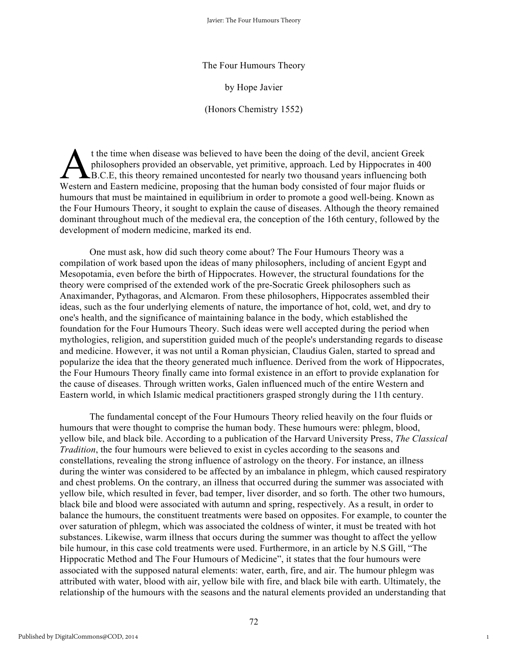The Four Humours Theory

by Hope Javier

(Honors Chemistry 1552)

t the time when disease was believed to have been the doing of the devil, ancient Greek philosophers provided an observable, yet primitive, approach. Led by Hippocrates in 400 **A.S.C.E**, this theory remained uncontested for nearly two thousand years influencing both t the time when disease was believed to have been the doing of the devil, ancient Greek<br>philosophers provided an observable, yet primitive, approach. Led by Hippocrates in 40<br>B.C.E, this theory remained uncontested for nea humours that must be maintained in equilibrium in order to promote a good well-being. Known as the Four Humours Theory, it sought to explain the cause of diseases. Although the theory remained dominant throughout much of the medieval era, the conception of the 16th century, followed by the development of modern medicine, marked its end.

One must ask, how did such theory come about? The Four Humours Theory was a compilation of work based upon the ideas of many philosophers, including of ancient Egypt and Mesopotamia, even before the birth of Hippocrates. However, the structural foundations for the theory were comprised of the extended work of the pre-Socratic Greek philosophers such as Anaximander, Pythagoras, and Alcmaron. From these philosophers, Hippocrates assembled their ideas, such as the four underlying elements of nature, the importance of hot, cold, wet, and dry to one's health, and the significance of maintaining balance in the body, which established the foundation for the Four Humours Theory. Such ideas were well accepted during the period when mythologies, religion, and superstition guided much of the people's understanding regards to disease and medicine. However, it was not until a Roman physician, Claudius Galen, started to spread and popularize the idea that the theory generated much influence. Derived from the work of Hippocrates, the Four Humours Theory finally came into formal existence in an effort to provide explanation for the cause of diseases. Through written works, Galen influenced much of the entire Western and Eastern world, in which Islamic medical practitioners grasped strongly during the 11th century.

The fundamental concept of the Four Humours Theory relied heavily on the four fluids or humours that were thought to comprise the human body. These humours were: phlegm, blood, yellow bile, and black bile. According to a publication of the Harvard University Press, *The Classical Tradition*, the four humours were believed to exist in cycles according to the seasons and constellations, revealing the strong influence of astrology on the theory. For instance, an illness during the winter was considered to be affected by an imbalance in phlegm, which caused respiratory and chest problems. On the contrary, an illness that occurred during the summer was associated with yellow bile, which resulted in fever, bad temper, liver disorder, and so forth. The other two humours, black bile and blood were associated with autumn and spring, respectively. As a result, in order to balance the humours, the constituent treatments were based on opposites. For example, to counter the over saturation of phlegm, which was associated the coldness of winter, it must be treated with hot substances. Likewise, warm illness that occurs during the summer was thought to affect the yellow bile humour, in this case cold treatments were used. Furthermore, in an article by N.S Gill, "The Hippocratic Method and The Four Humours of Medicine", it states that the four humours were associated with the supposed natural elements: water, earth, fire, and air. The humour phlegm was attributed with water, blood with air, yellow bile with fire, and black bile with earth. Ultimately, the relationship of the humours with the seasons and the natural elements provided an understanding that

1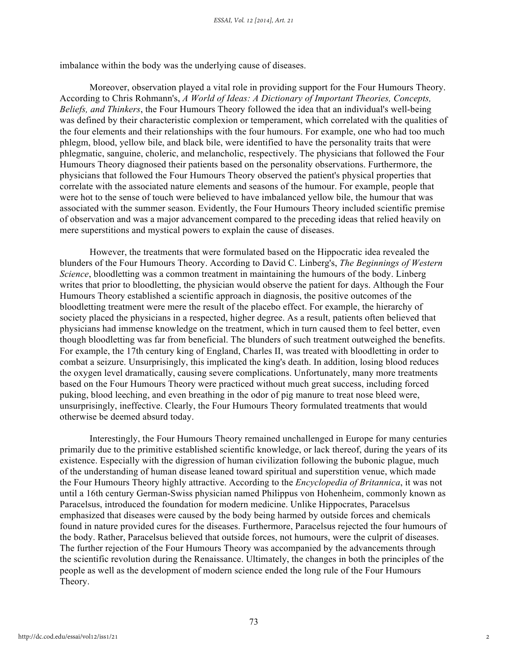imbalance within the body was the underlying cause of diseases.

Moreover, observation played a vital role in providing support for the Four Humours Theory. According to Chris Rohmann's, *A World of Ideas: A Dictionary of Important Theories, Concepts, Beliefs, and Thinkers*, the Four Humours Theory followed the idea that an individual's well-being was defined by their characteristic complexion or temperament, which correlated with the qualities of the four elements and their relationships with the four humours. For example, one who had too much phlegm, blood, yellow bile, and black bile, were identified to have the personality traits that were phlegmatic, sanguine, choleric, and melancholic, respectively. The physicians that followed the Four Humours Theory diagnosed their patients based on the personality observations. Furthermore, the physicians that followed the Four Humours Theory observed the patient's physical properties that correlate with the associated nature elements and seasons of the humour. For example, people that were hot to the sense of touch were believed to have imbalanced yellow bile, the humour that was associated with the summer season. Evidently, the Four Humours Theory included scientific premise of observation and was a major advancement compared to the preceding ideas that relied heavily on mere superstitions and mystical powers to explain the cause of diseases.

However, the treatments that were formulated based on the Hippocratic idea revealed the blunders of the Four Humours Theory. According to David C. Linberg's, *The Beginnings of Western Science*, bloodletting was a common treatment in maintaining the humours of the body. Linberg writes that prior to bloodletting, the physician would observe the patient for days. Although the Four Humours Theory established a scientific approach in diagnosis, the positive outcomes of the bloodletting treatment were mere the result of the placebo effect. For example, the hierarchy of society placed the physicians in a respected, higher degree. As a result, patients often believed that physicians had immense knowledge on the treatment, which in turn caused them to feel better, even though bloodletting was far from beneficial. The blunders of such treatment outweighed the benefits. For example, the 17th century king of England, Charles II, was treated with bloodletting in order to combat a seizure. Unsurprisingly, this implicated the king's death. In addition, losing blood reduces the oxygen level dramatically, causing severe complications. Unfortunately, many more treatments based on the Four Humours Theory were practiced without much great success, including forced puking, blood leeching, and even breathing in the odor of pig manure to treat nose bleed were, unsurprisingly, ineffective. Clearly, the Four Humours Theory formulated treatments that would otherwise be deemed absurd today.

Interestingly, the Four Humours Theory remained unchallenged in Europe for many centuries primarily due to the primitive established scientific knowledge, or lack thereof, during the years of its existence. Especially with the digression of human civilization following the bubonic plague, much of the understanding of human disease leaned toward spiritual and superstition venue, which made the Four Humours Theory highly attractive. According to the *Encyclopedia of Britannica*, it was not until a 16th century German-Swiss physician named Philippus von Hohenheim, commonly known as Paracelsus, introduced the foundation for modern medicine. Unlike Hippocrates, Paracelsus emphasized that diseases were caused by the body being harmed by outside forces and chemicals found in nature provided cures for the diseases. Furthermore, Paracelsus rejected the four humours of the body. Rather, Paracelsus believed that outside forces, not humours, were the culprit of diseases. The further rejection of the Four Humours Theory was accompanied by the advancements through the scientific revolution during the Renaissance. Ultimately, the changes in both the principles of the people as well as the development of modern science ended the long rule of the Four Humours Theory.

2